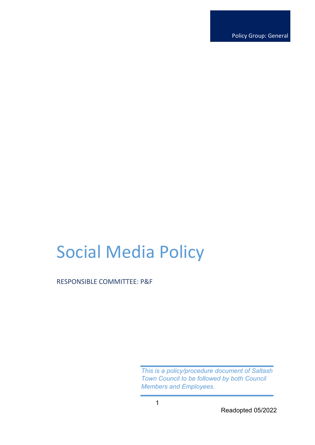Policy Group: General

# Social Media Policy

RESPONSIBLE COMMITTEE: P&F

*This is a policy/procedure document of Saltash Town Council to be followed by both Council Members and Employees.* 

Readopted 05/2022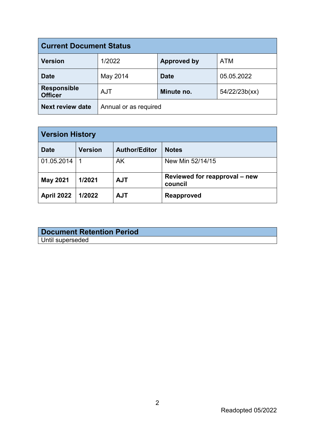| <b>Current Document Status</b>       |                       |                    |               |  |  |
|--------------------------------------|-----------------------|--------------------|---------------|--|--|
| <b>Version</b>                       | 1/2022                | <b>Approved by</b> | <b>ATM</b>    |  |  |
| <b>Date</b>                          | May 2014              | <b>Date</b>        | 05.05.2022    |  |  |
| <b>Responsible</b><br><b>Officer</b> | <b>AJT</b>            | Minute no.         | 54/22/23b(xx) |  |  |
| <b>Next review date</b>              | Annual or as required |                    |               |  |  |

| <b>Version History</b> |                |                      |                                          |  |
|------------------------|----------------|----------------------|------------------------------------------|--|
| <b>Date</b>            | <b>Version</b> | <b>Author/Editor</b> | <b>Notes</b>                             |  |
| 01.05.2014             |                | AK                   | New Min 52/14/15                         |  |
| <b>May 2021</b>        | 1/2021         | <b>AJT</b>           | Reviewed for reapproval – new<br>council |  |
| <b>April 2022</b>      | 1/2022         | <b>AJT</b>           | <b>Reapproved</b>                        |  |

| <b>Document Retention Period</b> |  |
|----------------------------------|--|
| Until superseded                 |  |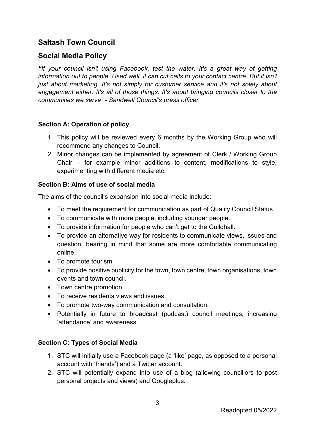# **Saltash Town Council**

## **Social Media Policy**

*"If your council isn't using Facebook, test the water. It's a great way of getting information out to people. Used well, it can cut calls to your contact centre. But it isn't just about marketing. It's not simply for customer service and it's not solely about engagement either. It's all of those things. It's about bringing councils closer to the communities we serve" - Sandwell Council's press officer*

#### **Section A: Operation of policy**

- 1. This policy will be reviewed every 6 months by the Working Group who will recommend any changes to Council.
- 2. Minor changes can be implemented by agreement of Clerk / Working Group Chair – for example minor additions to content, modifications to style, experimenting with different media etc.

#### **Section B: Aims of use of social media**

The aims of the council's expansion into social media include:

- To meet the requirement for communication as part of Quality Council Status.
- To communicate with more people, including younger people.
- To provide information for people who can't get to the Guildhall.
- To provide an alternative way for residents to communicate views, issues and question, bearing in mind that some are more comfortable communicating online.
- To promote tourism.
- To provide positive publicity for the town, town centre, town organisations, town events and town council.
- Town centre promotion.
- To receive residents views and issues.
- To promote two-way communication and consultation.
- Potentially in future to broadcast (podcast) council meetings, increasing 'attendance' and awareness.

#### **Section C: Types of Social Media**

- 1. STC will initially use a Facebook page (a 'like' page, as opposed to a personal account with 'friends') and a Twitter account.
- 2. STC will potentially expand into use of a blog (allowing councillors to post personal projects and views) and Googleplus.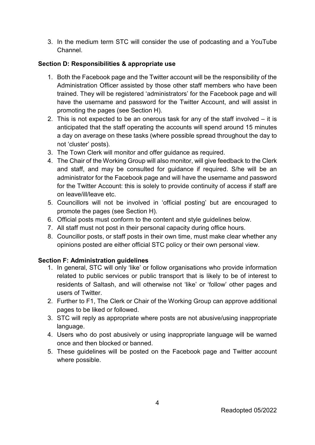3. In the medium term STC will consider the use of podcasting and a YouTube Channel.

#### **Section D: Responsibilities & appropriate use**

- 1. Both the Facebook page and the Twitter account will be the responsibility of the Administration Officer assisted by those other staff members who have been trained. They will be registered 'administrators' for the Facebook page and will have the username and password for the Twitter Account, and will assist in promoting the pages (see Section H).
- 2. This is not expected to be an onerous task for any of the staff involved it is anticipated that the staff operating the accounts will spend around 15 minutes a day on average on these tasks (where possible spread throughout the day to not 'cluster' posts).
- 3. The Town Clerk will monitor and offer guidance as required.
- 4. The Chair of the Working Group will also monitor, will give feedback to the Clerk and staff, and may be consulted for guidance if required. S/he will be an administrator for the Facebook page and will have the username and password for the Twitter Account: this is solely to provide continuity of access if staff are on leave/ill/leave etc.
- 5. Councillors will not be involved in 'official posting' but are encouraged to promote the pages (see Section H).
- 6. Official posts must conform to the content and style guidelines below.
- 7. All staff must not post in their personal capacity during office hours.
- 8. Councillor posts, or staff posts in their own time, must make clear whether any opinions posted are either official STC policy or their own personal view.

## **Section F: Administration guidelines**

- 1. In general, STC will only 'like' or follow organisations who provide information related to public services or public transport that is likely to be of interest to residents of Saltash, and will otherwise not 'like' or 'follow' other pages and users of Twitter.
- 2. Further to F1, The Clerk or Chair of the Working Group can approve additional pages to be liked or followed.
- 3. STC will reply as appropriate where posts are not abusive/using inappropriate language.
- 4. Users who do post abusively or using inappropriate language will be warned once and then blocked or banned.
- 5. These guidelines will be posted on the Facebook page and Twitter account where possible.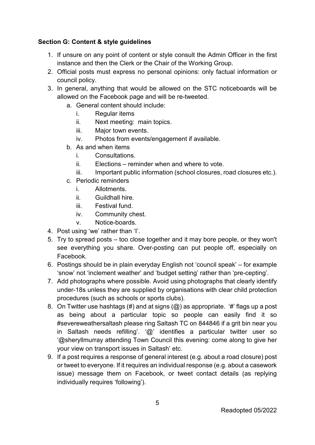### **Section G: Content & style guidelines**

- 1. If unsure on any point of content or style consult the Admin Officer in the first instance and then the Clerk or the Chair of the Working Group.
- 2. Official posts must express no personal opinions: only factual information or council policy.
- 3. In general, anything that would be allowed on the STC noticeboards will be allowed on the Facebook page and will be re-tweeted.
	- a. General content should include:
		- i. Regular items
		- ii. Next meeting: main topics.
		- iii. Major town events.
		- iv. Photos from events/engagement if available.
	- b. As and when items
		- i. Consultations.
		- ii. Elections reminder when and where to vote.
		- iii. Important public information (school closures, road closures etc.).
	- c. Periodic reminders
		- i. Allotments.
		- ii. Guildhall hire.
		- iii. Festival fund.
		- iv. Community chest.
		- v. Notice-boards.
- 4. Post using 'we' rather than 'I'.
- 5. Try to spread posts too close together and it may bore people, or they won't see everything you share. Over-posting can put people off, especially on Facebook.
- 6. Postings should be in plain everyday English not 'council speak' for example 'snow' not 'inclement weather' and 'budget setting' rather than 'pre-cepting'.
- 7. Add photographs where possible. Avoid using photographs that clearly identify under-18s unless they are supplied by organisations with clear child protection procedures (such as schools or sports clubs).
- 8. On Twitter use hashtags (#) and at signs  $(Q)$  as appropriate. '#' flags up a post as being about a particular topic so people can easily find it so #severeweathersaltash please ring Saltash TC on 844846 if a grit bin near you in Saltash needs refilling'. '@' identifies a particular twitter user so '@sheryllmurray attending Town Council this evening: come along to give her your view on transport issues in Saltash' etc.
- 9. If a post requires a response of general interest (e.g. about a road closure) post or tweet to everyone. If it requires an individual response (e.g. about a casework issue) message them on Facebook, or tweet contact details (as replying individually requires 'following').